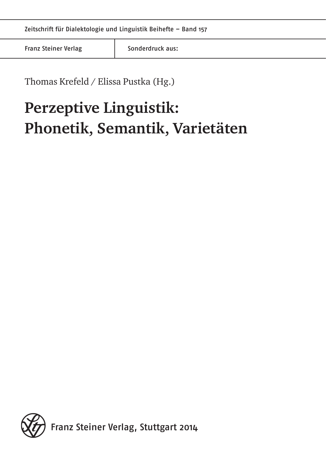Franz Steiner Verlag Franz Sonderdruck aus:

Thomas Krefeld / Elissa Pustka (Hg.)

# **Perzeptive Linguistik: Phonetik, Semantik, Varietäten**

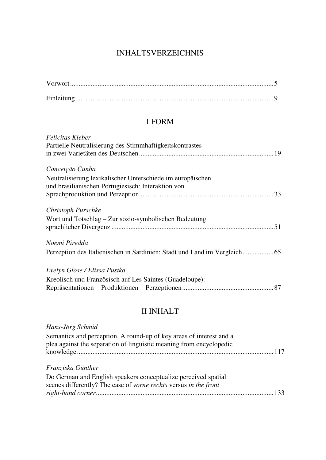# INHALTSVERZEICHNIS

# I FORM

| Felicitas Kleber                                           |  |
|------------------------------------------------------------|--|
| Partielle Neutralisierung des Stimmhaftigkeitskontrastes   |  |
|                                                            |  |
| Conceição Cunha                                            |  |
| Neutralisierung lexikalischer Unterschiede im europäischen |  |
| und brasilianischen Portugiesisch: Interaktion von         |  |
|                                                            |  |
| Christoph Purschke                                         |  |
| Wort und Totschlag – Zur sozio-symbolischen Bedeutung      |  |
|                                                            |  |
| Noemi Piredda                                              |  |
|                                                            |  |
| Evelyn Glose / Elissa Pustka                               |  |
| Kreolisch und Französisch auf Les Saintes (Guadeloupe):    |  |
|                                                            |  |
|                                                            |  |

# II INHALT

| Hans-Jörg Schmid                                                                                                                           |
|--------------------------------------------------------------------------------------------------------------------------------------------|
| Semantics and perception. A round-up of key areas of interest and a<br>plea against the separation of linguistic meaning from encyclopedic |
| Franziska Günther                                                                                                                          |
| Do German and English speakers conceptualize perceived spatial<br>scenes differently? The case of vorne rechts versus in the front         |
|                                                                                                                                            |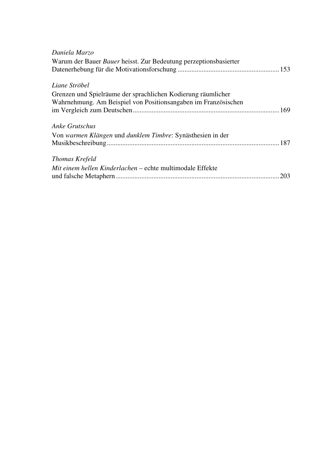| Daniela Marzo                                                    |  |
|------------------------------------------------------------------|--|
| Warum der Bauer Bauer heisst. Zur Bedeutung perzeptionsbasierter |  |
|                                                                  |  |
| Liane Ströbel                                                    |  |
| Grenzen und Spielräume der sprachlichen Kodierung räumlicher     |  |
| Wahrnehmung. Am Beispiel von Positionsangaben im Französischen   |  |
|                                                                  |  |
| <b>Anke Grutschus</b>                                            |  |
| Von warmen Klängen und dunklem Timbre: Synästhesien in der       |  |
|                                                                  |  |
| Thomas Krefeld                                                   |  |
| Mit einem hellen Kinderlachen – echte multimodale Effekte        |  |
|                                                                  |  |
|                                                                  |  |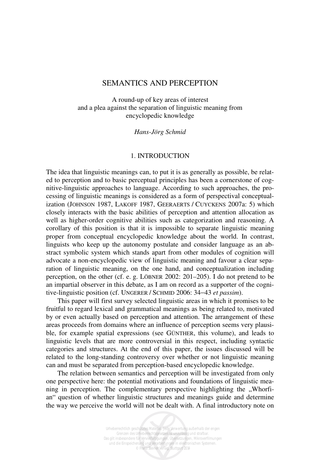## SEMANTICS AND PERCEPTION

A round-up of key areas of interest and a plea against the separation of linguistic meaning from encyclopedic knowledge

*Hans-Jörg Schmid* 

## 1. INTRODUCTION

The idea that linguistic meanings can, to put it is as generally as possible, be related to perception and to basic perceptual principles has been a cornerstone of cognitive-linguistic approaches to language. According to such approaches, the processing of linguistic meanings is considered as a form of perspectival conceptualization (JOHNSON 1987, LAKOFF 1987, GEERAERTS / CUYCKENS 2007a: 5) which closely interacts with the basic abilities of perception and attention allocation as well as higher-order cognitive abilities such as categorization and reasoning. A corollary of this position is that it is impossible to separate linguistic meaning proper from conceptual encyclopedic knowledge about the world. In contrast, linguists who keep up the autonomy postulate and consider language as an abstract symbolic system which stands apart from other modules of cognition will advocate a non-encyclopedic view of linguistic meaning and favour a clear separation of linguistic meaning, on the one hand, and conceptualization including perception, on the other (cf. e. g. LÖBNER 2002: 201–205). I do not pretend to be an impartial observer in this debate, as I am on record as a supporter of the cognitive-linguistic position (cf. UNGERER / SCHMID 2006: 34−43 *et passim*).

This paper will first survey selected linguistic areas in which it promises to be fruitful to regard lexical and grammatical meanings as being related to, motivated by or even actually based on perception and attention. The arrangement of these areas proceeds from domains where an influence of perception seems very plausible, for example spatial expressions (see GÜNTHER, this volume), and leads to linguistic levels that are more controversial in this respect, including syntactic categories and structures. At the end of this paper, the issues discussed will be related to the long-standing controversy over whether or not linguistic meaning can and must be separated from perception-based encyclopedic knowledge.

The relation between semantics and perception will be investigated from only one perspective here: the potential motivations and foundations of linguistic meaning in perception. The complementary perspective highlighting the  $\cdot$  Whorfian" question of whether linguistic structures and meanings guide and determine the way we perceive the world will not be dealt with. A final introductory note on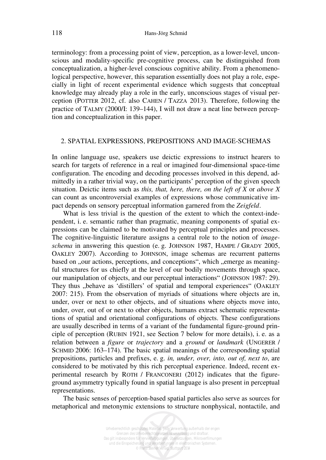terminology: from a processing point of view, perception, as a lower-level, unconscious and modality-specific pre-cognitive process, can be distinguished from conceptualization, a higher-level conscious cognitive ability. From a phenomenological perspective, however, this separation essentially does not play a role, especially in light of recent experimental evidence which suggests that conceptual knowledge may already play a role in the early, unconscious stages of visual perception (POTTER 2012, cf. also CAHEN / TAZZA 2013). Therefore, following the practice of TALMY (2000/I: 139–144), I will not draw a neat line between perception and conceptualization in this paper.

#### 2. SPATIAL EXPRESSIONS, PREPOSITIONS AND IMAGE-SCHEMAS

In online language use, speakers use deictic expressions to instruct hearers to search for targets of reference in a real or imagined four-dimensional space-time configuration. The encoding and decoding processes involved in this depend, admittedly in a rather trivial way, on the participants' perception of the given speech situation. Deictic items such as *this, that, here, there, on the left of X* or *above X* can count as uncontroversial examples of expressions whose communicative impact depends on sensory perceptual information garnered from the *Zeigfeld*.

What is less trivial is the question of the extent to which the context-independent, i. e. semantic rather than pragmatic, meaning components of spatial expressions can be claimed to be motivated by perceptual principles and processes. The cognitive-linguistic literature assigns a central role to the notion of *imageschema* in answering this question (e. g. JOHNSON 1987, HAMPE / GRADY 2005, OAKLEY 2007). According to JOHNSON, image schemas are recurrent patterns based on , our actions, perceptions, and conceptions", which , emerge as meaningful structures for us chiefly at the level of our bodily movements through space, our manipulation of objects, and our perceptual interactions" (JOHNSON 1987: 29). They thus "behave as 'distillers' of spatial and temporal experiences" (OAKLEY 2007: 215). From the observation of myriads of situations where objects are in, under, over or next to other objects, and of situations where objects move into, under, over, out of or next to other objects, humans extract schematic representations of spatial and orientational configurations of objects. These configurations are usually described in terms of a variant of the fundamental figure-ground principle of perception (RUBIN 1921, see Section 7 below for more details), i. e. as a relation between a *figure* or *trajectory* and a *ground* or *landmark* (UNGERER / SCHMID 2006: 163–174). The basic spatial meanings of the corresponding spatial prepositions, particles and prefixes, e. g. *in, under, over, into, out of, next to*, are considered to be motivated by this rich perceptual experience. Indeed, recent experimental research by ROTH / FRANCONERI (2012) indicates that the figureground asymmetry typically found in spatial language is also present in perceptual representations.

The basic senses of perception-based spatial particles also serve as sources for metaphorical and metonymic extensions to structure nonphysical, nontactile, and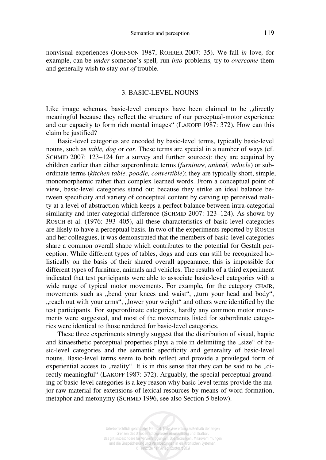nonvisual experiences (JOHNSON 1987, ROHRER 2007: 35). We fall *in* love*,* for example, can be *under* someone's spell*,* run *into* problems*,* try to *overcome* them and generally wish to stay *out of* trouble.

#### 3. BASIC-LEVEL NOUNS

Like image schemas, basic-level concepts have been claimed to be ..directly meaningful because they reflect the structure of our perceptual-motor experience and our capacity to form rich mental images" (LAKOFF 1987: 372). How can this claim be justified?

Basic-level categories are encoded by basic-level terms, typically basic-level nouns, such as *table, dog* or *car*. These terms are special in a number of ways (cf. SCHMID 2007: 123–124 for a survey and further sources): they are acquired by children earlier than either superordinate terms (*furniture, animal, vehicle*) or subordinate terms (*kitchen table, poodle, convertible*); they are typically short, simple, monomorphemic rather than complex learned words. From a conceptual point of view, basic-level categories stand out because they strike an ideal balance between specificity and variety of conceptual content by carving up perceived reality at a level of abstraction which keeps a perfect balance between intra-categorial similarity and inter-categorial difference (SCHMID 2007: 123–124). As shown by ROSCH et al. (1976: 393–405), all these characteristics of basic-level categories are likely to have a perceptual basis. In two of the experiments reported by ROSCH and her colleagues, it was demonstrated that the members of basic-level categories share a common overall shape which contributes to the potential for Gestalt perception. While different types of tables, dogs and cars can still be recognized holistically on the basis of their shared overall appearance, this is impossible for different types of furniture, animals and vehicles. The results of a third experiment indicated that test participants were able to associate basic-level categories with a wide range of typical motor movements. For example, for the category CHAIR, movements such as "bend your knees and waist", "turn your head and body", "reach out with your arms", "lower your weight" and others were identified by the test participants. For superordinate categories, hardly any common motor movements were suggested, and most of the movements listed for subordinate categories were identical to those rendered for basic-level categories.

These three experiments strongly suggest that the distribution of visual, haptic and kinaesthetic perceptual properties plays a role in delimiting the "size" of basic-level categories and the semantic specificity and generality of basic-level nouns. Basic-level terms seem to both reflect and provide a privileged form of experiential access to "reality". It is in this sense that they can be said to be "directly meaningful" (LAKOFF 1987: 372). Arguably, the special perceptual grounding of basic-level categories is a key reason why basic-level terms provide the major raw material for extensions of lexical resources by means of word-formation, metaphor and metonymy (SCHMID 1996, see also Section 5 below).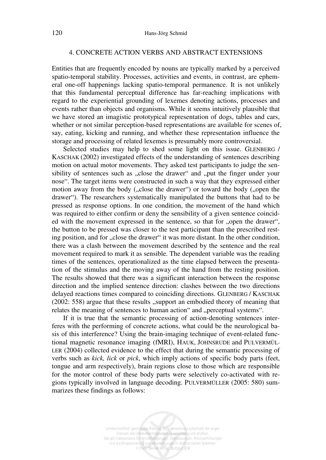#### 4. CONCRETE ACTION VERBS AND ABSTRACT EXTENSIONS

Entities that are frequently encoded by nouns are typically marked by a perceived spatio-temporal stability. Processes, activities and events, in contrast, are ephemeral one-off happenings lacking spatio-temporal permanence. It is not unlikely that this fundamental perceptual difference has far-reaching implications with regard to the experiential grounding of lexemes denoting actions, processes and events rather than objects and organisms. While it seems intuitively plausible that we have stored an imagistic prototypical representation of dogs, tables and cars, whether or not similar perception-based representations are available for scenes of, say, eating, kicking and running, and whether these representation influence the storage and processing of related lexemes is presumably more controversial.

Selected studies may help to shed some light on this issue. GLENBERG / KASCHAK (2002) investigated effects of the understanding of sentences describing motion on actual motor movements. They asked test participants to judge the sensibility of sentences such as "close the drawer" and "put the finger under your nose". The target items were constructed in such a way that they expressed either motion away from the body ("close the drawer") or toward the body ("open the drawer"). The researchers systematically manipulated the buttons that had to be pressed as response options. In one condition, the movement of the hand which was required to either confirm or deny the sensibility of a given sentence coincided with the movement expressed in the sentence, so that for "open the drawer", the button to be pressed was closer to the test participant than the prescribed resting position, and for "close the drawer" it was more distant. In the other condition, there was a clash between the movement described by the sentence and the real movement required to mark it as sensible. The dependent variable was the reading times of the sentences, operationalized as the time elapsed between the presentation of the stimulus and the moving away of the hand from the resting position. The results showed that there was a significant interaction between the response direction and the implied sentence direction: clashes between the two directions delayed reactions times compared to coinciding directions. GLENBERG / KASCHAK (2002: 558) argue that these results "support an embodied theory of meaning that relates the meaning of sentences to human action" and "perceptual systems".

If it is true that the semantic processing of action-denoting sentences interferes with the performing of concrete actions, what could be the neurological basis of this interference? Using the brain-imaging technique of event-related functional magnetic resonance imaging (fMRI), HAUK, JOHNSRUDE and PULVERMÜL-LER (2004) collected evidence to the effect that during the semantic processing of verbs such as *kick, lick* or *pick*, which imply actions of specific body parts (feet, tongue and arm respectively), brain regions close to those which are responsible for the motor control of these body parts were selectively co-activated with regions typically involved in language decoding. PULVERMÜLLER (2005: 580) summarizes these findings as follows: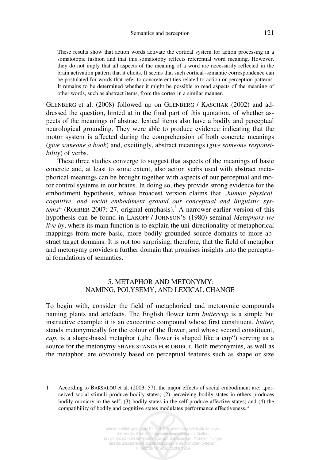These results show that action words activate the cortical system for action processing in a somatotopic fashion and that this somatotopy reflects referential word meaning. However, they do not imply that all aspects of the meaning of a word are necessarily reflected in the brain activation pattern that it elicits. It seems that such cortical–semantic correspondence can be postulated for words that refer to concrete entities related to action or perception patterns. It remains to be determined whether it might be possible to read aspects of the meaning of other words, such as abstract items, from the cortex in a similar manner.

GLENBERG et al. (2008) followed up on GLENBERG / KASCHAK (2002) and addressed the question, hinted at in the final part of this quotation, of whether aspects of the meanings of abstract lexical items also have a bodily and perceptual neurological grounding. They were able to produce evidence indicating that the motor system is affected during the comprehension of both concrete meanings (*give someone a book*) and, excitingly, abstract meanings (*give someone responsibility*) of verbs.

These three studies converge to suggest that aspects of the meanings of basic concrete and, at least to some extent, also action verbs used with abstract metaphorical meanings can be brought together with aspects of our perceptual and motor control systems in our brains. In doing so, they provide strong evidence for the embodiment hypothesis, whose broadest version claims that "human physical, *cognitive, and social embodiment ground our conceptual and linguistic sys*tems" (ROHRER 2007: 27, original emphasis).<sup>1</sup> A narrower earlier version of this hypothesis can be found in LAKOFF / JOHNSON'S (1980) seminal *Metaphors we live by*, where its main function is to explain the uni-directionality of metaphorical mappings from more basic, more bodily grounded source domains to more abstract target domains. It is not too surprising, therefore, that the field of metaphor and metonymy provides a further domain that promises insights into the perceptual foundations of semantics.

## 5. METAPHOR AND METONYMY: NAMING, POLYSEMY, AND LEXICAL CHANGE

To begin with, consider the field of metaphorical and metonymic compounds naming plants and artefacts. The English flower term *buttercup* is a simple but instructive example: it is an exocentric compound whose first constituent, *butter*, stands metonymically for the colour of the flower, and whose second constituent, *cup*, is a shape-based metaphor ("the flower is shaped like a cup") serving as a source for the metonymy SHAPE STANDS FOR OBJECT. Both metonymies, as well as the metaphor, are obviously based on perceptual features such as shape or size

1 According to BARSALOU et al. (2003: 57), the major effects of social embodiment are: "perceived social stimuli produce bodily states; (2) perceiving bodily states in others produces bodily mimicry in the self; (3) bodily states in the self produce affective states; and (4) the compatibility of bodily and cognitive states modulates performance effectiveness."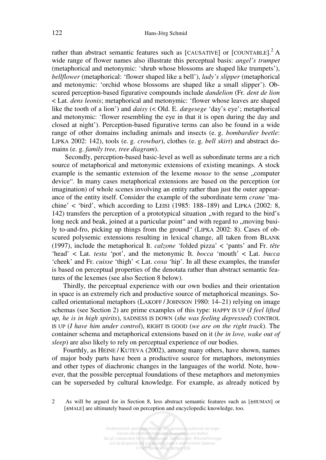rather than abstract semantic features such as [CAUSATIVE] or [COUNTABLE].<sup>2</sup> A wide range of flower names also illustrate this perceptual basis: *angel's trumpet* (metaphorical and metonymic: 'shrub whose blossoms are shaped like trumpets'), *bellflower* (metaphorical: 'flower shaped like a bell'), *lady's slipper* (metaphorical and metonymic: 'orchid whose blossoms are shaped like a small slipper'). Obscured perception-based figurative compounds include *dandelion* (Fr. *dent de lion*  < Lat. *dens leonis*; metaphorical and metonymic: 'flower whose leaves are shaped like the tooth of a lion') and *daisy* (< Old. E. *dægesege* 'day's eye'; metaphorical and metonymic: 'flower resembling the eye in that it is open during the day and closed at night'). Perception-based figurative terms can also be found in a wide range of other domains including animals and insects (e. g. *bombardier beetle*: LIPKA 2002: 142), tools (e. g. *crowbar*), clothes (e. g. *bell skirt*) and abstract domains (e. g. *family tree, tree diagram*).

 Secondly, perception-based basic-level as well as subordinate terms are a rich source of metaphorical and metonymic extensions of existing meanings. A stock example is the semantic extension of the lexeme *mouse* to the sense "computer device". In many cases metaphorical extensions are based on the perception (or imagination) of whole scenes involving an entity rather than just the outer appearance of the entity itself. Consider the example of the subordinate term *crane* 'machine' < 'bird', which according to LEISI (1985: 188–189) and LIPKA (2002: 8, 142) transfers the perception of a prototypical situation "with regard to the bird's long neck and beak, joined at a particular point" and with regard to "moving busily to-and-fro, picking up things from the ground" (LIPKA 2002: 8). Cases of obscured polysemic extensions resulting in lexical change, all taken from BLANK (1997), include the metaphorical It. *calzone '*folded pizza' < 'pants' and Fr. *tête*  'head' < Lat. *testa* 'pot', and the metonymic It. *bocca* 'mouth' < Lat. *bucca* 'cheek' and Fr. *cuisse* 'thigh' < Lat. *coxa* 'hip'. In all these examples, the transfer is based on perceptual properties of the denotata rather than abstract semantic features of the lexemes (see also Section 8 below).

Thirdly, the perceptual experience with our own bodies and their orientation in space is an extremely rich and productive source of metaphorical meanings. Socalled orientational metaphors (LAKOFF / JOHNSON 1980: 14–21) relying on image schemas (see Section 2) are prime examples of this type: HAPPY IS UP (*I feel lifted up, he is in high spirits*), SADNESS IS DOWN (*she was feeling depressed*) CONTROL IS UP (*I have him under control*), RIGHT IS GOOD (*we are on the right track*). The container schema and metaphorical extensions based on it (*be in love, wake out of sleep*) are also likely to rely on perceptual experience of our bodies.

Fourthly, as HEINE / KUTEVA (2002), among many others, have shown, names of major body parts have been a productive source for metaphors, metonymies and other types of diachronic changes in the languages of the world. Note, however, that the possible perceptual foundations of these metaphors and metonymies can be superseded by cultural knowledge. For example, as already noticed by

2 As will be argued for in Section 8, less abstract semantic features such as [±HUMAN] or [ $\pm$ MALE] are ultimately based on perception and encyclopedic knowledge, too.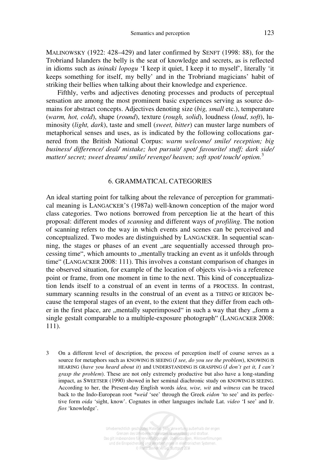MALINOWSKY (1922: 428–429) and later confirmed by SENFT (1998: 88), for the Trobriand Islanders the belly is the seat of knowledge and secrets, as is reflected in idioms such as *ininaki lopogu* 'I keep it quiet, I keep it to myself', literally 'it keeps something for itself, my belly' and in the Trobriand magicians' habit of striking their bellies when talking about their knowledge and experience.

Fifthly, verbs and adjectives denoting processes and products of perceptual sensation are among the most prominent basic experiences serving as source domains for abstract concepts. Adjectives denoting size (*big, small* etc.), temperature (*warm, hot, cold*), shape (*round*), texture (*rough, solid*), loudness (*loud*, *soft*), luminosity (*light, dark*), taste and smell (*sweet, bitter*) can muster large numbers of metaphorical senses and uses, as is indicated by the following collocations garnered from the British National Corpus: *warm welcome/ smile/ reception; big business/ difference/ deal/ mistake; hot pursuit/ spot/ favourite/ stuff; dark side/ matter/ secret; sweet dreams/ smile/ revenge/ heaven; soft spot/ touch/ option.*<sup>3</sup>

#### 6. GRAMMATICAL CATEGORIES

An ideal starting point for talking about the relevance of perception for grammatical meaning is LANGACKER'S (1987a) well-known conception of the major word class categories. Two notions borrowed from perception lie at the heart of this proposal: different modes of *scanning* and different ways of *profiling*. The notion of scanning refers to the way in which events and scenes can be perceived and conceptualized. Two modes are distinguished by LANGACKER. In sequential scanning, the stages or phases of an event "are sequentially accessed through processing time", which amounts to "mentally tracking an event as it unfolds through time" (LANGACKER 2008: 111). This involves a constant comparison of changes in the observed situation, for example of the location of objects vis-à-vis a reference point or frame, from one moment in time to the next. This kind of conceptualization lends itself to a construal of an event in terms of a PROCESS. In contrast, summary scanning results in the construal of an event as a THING or REGION because the temporal stages of an event, to the extent that they differ from each other in the first place, are ,,mentally superimposed" in such a way that they ,,form a single gestalt comparable to a multiple-exposure photograph" (LANGACKER 2008: 111).

3 On a different level of description, the process of perception itself of course serves as a source for metaphors such as KNOWING IS SEEING (*I see, do you see the problem*), KNOWING IS HEARING (*have you heard about it*) and UNDERSTANDING IS GRASPING (*I don't get it, I can't grasp the problem*). These are not only extremely productive but also have a long-standing impact, as SWEETSER (1990) showed in her seminal diachronic study on KNOWING IS SEEING. According to her, the Present-day English words *idea, wise, wit* and *witness* can be traced back to the Indo-European root *\*weid* 'see' through the Greek *eidon* 'to see' and its perfective form *oida* 'sight, know'. Cognates in other languages include Lat. *video* 'I see' and Ir. *fios* 'knowledge'.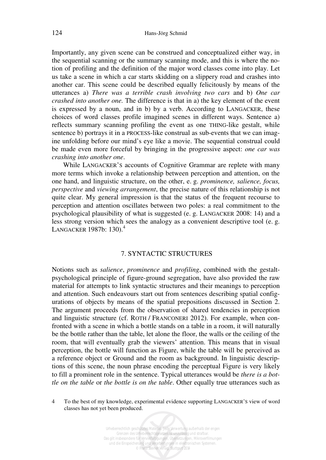Importantly, any given scene can be construed and conceptualized either way, in the sequential scanning or the summary scanning mode, and this is where the notion of profiling and the definition of the major word classes come into play. Let us take a scene in which a car starts skidding on a slippery road and crashes into another car. This scene could be described equally felicitously by means of the utterances a) *There was a terrible crash involving two cars* and b) *One car crashed into another one.* The difference is that in a) the key element of the event is expressed by a noun, and in b) by a verb. According to LANGACKER, these choices of word classes profile imagined scenes in different ways. Sentence a) reflects summary scanning profiling the event as one THING-like gestalt, while sentence b) portrays it in a PROCESS-like construal as sub-events that we can imagine unfolding before our mind's eye like a movie. The sequential construal could be made even more forceful by bringing in the progressive aspect: *one car was crashing into another one*.

While LANGACKER'S accounts of Cognitive Grammar are replete with many more terms which invoke a relationship between perception and attention, on the one hand, and linguistic structure, on the other, e. g. *prominence, salience, focus, perspective* and *viewing arrangement*, the precise nature of this relationship is not quite clear. My general impression is that the status of the frequent recourse to perception and attention oscillates between two poles: a real commitment to the psychological plausibility of what is suggested (e. g. LANGACKER 2008: 14) and a less strong version which sees the analogy as a convenient descriptive tool (e. g. LANGACKER 1987b: 130).<sup>4</sup>

#### 7. SYNTACTIC STRUCTURES

Notions such as *salience*, *prominence* and *profiling*, combined with the gestaltpsychological principle of figure-ground segregation, have also provided the raw material for attempts to link syntactic structures and their meanings to perception and attention. Such endeavours start out from sentences describing spatial configurations of objects by means of the spatial prepositions discussed in Section 2. The argument proceeds from the observation of shared tendencies in perception and linguistic structure (cf. ROTH / FRANCONERI 2012). For example, when confronted with a scene in which a bottle stands on a table in a room, it will naturally be the bottle rather than the table, let alone the floor, the walls or the ceiling of the room, that will eventually grab the viewers' attention. This means that in visual perception, the bottle will function as Figure, while the table will be perceived as a reference object or Ground and the room as background. In linguistic descriptions of this scene, the noun phrase encoding the perceptual Figure is very likely to fill a prominent role in the sentence. Typical utterances would be *there is a bottle on the table* or *the bottle is on the table*. Other equally true utterances such as

<sup>4</sup> To the best of my knowledge, experimental evidence supporting LANGACKER'S view of word classes has not yet been produced.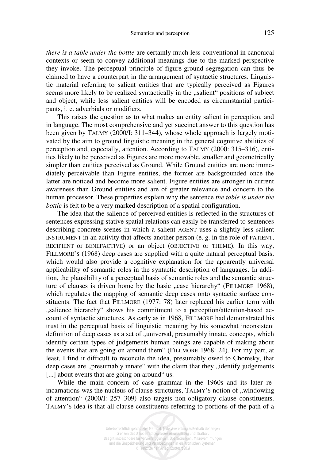#### Semantics and perception 125

*there is a table under the bottle* are certainly much less conventional in canonical contexts or seem to convey additional meanings due to the marked perspective they invoke. The perceptual principle of figure-ground segregation can thus be claimed to have a counterpart in the arrangement of syntactic structures. Linguistic material referring to salient entities that are typically perceived as Figures seems more likely to be realized syntactically in the "salient" positions of subject and object, while less salient entities will be encoded as circumstantial participants, i. e. adverbials or modifiers.

This raises the question as to what makes an entity salient in perception, and in language. The most comprehensive and yet succinct answer to this question has been given by TALMY (2000/I: 311–344), whose whole approach is largely motivated by the aim to ground linguistic meaning in the general cognitive abilities of perception and, especially, attention. According to TALMY (2000: 315–316), entities likely to be perceived as Figures are more movable, smaller and geometrically simpler than entities perceived as Ground. While Ground entities are more immediately perceivable than Figure entities, the former are backgrounded once the latter are noticed and become more salient. Figure entities are stronger in current awareness than Ground entities and are of greater relevance and concern to the human processor. These properties explain why the sentence *the table is under the bottle* is felt to be a very marked description of a spatial configuration.

The idea that the salience of perceived entities is reflected in the structures of sentences expressing stative spatial relations can easily be transferred to sentences describing concrete scenes in which a salient AGENT uses a slightly less salient INSTRUMENT in an activity that affects another person (e. g. in the role of PATIENT, RECIPIENT or BENEFACTIVE) or an object (OBJECTIVE or THEME). In this way, FILLMORE'S (1968) deep cases are supplied with a quite natural perceptual basis, which would also provide a cognitive explanation for the apparently universal applicability of semantic roles in the syntactic description of languages. In addition, the plausibility of a perceptual basis of semantic roles and the semantic structure of clauses is driven home by the basic "case hierarchy" (FILLMORE 1968), which regulates the mapping of semantic deep cases onto syntactic surface constituents. The fact that FILLMORE (1977: 78) later replaced his earlier term with "salience hierarchy" shows his commitment to a perception/attention-based account of syntactic structures. As early as in 1968, FILLMORE had demonstrated his trust in the perceptual basis of linguistic meaning by his somewhat inconsistent definition of deep cases as a set of "universal, presumably innate, concepts, which identify certain types of judgements human beings are capable of making about the events that are going on around them" (FILLMORE 1968: 24). For my part, at least, I find it difficult to reconcile the idea, presumably owed to Chomsky, that deep cases are "presumably innate" with the claim that they "identify judgements [...] about events that are going on around "us.

While the main concern of case grammar in the 1960s and its later reincarnations was the nucleus of clause structures, TALMY's notion of "windowing of attention" (2000/I: 257–309) also targets non-obligatory clause constituents. TALMY'S idea is that all clause constituents referring to portions of the path of a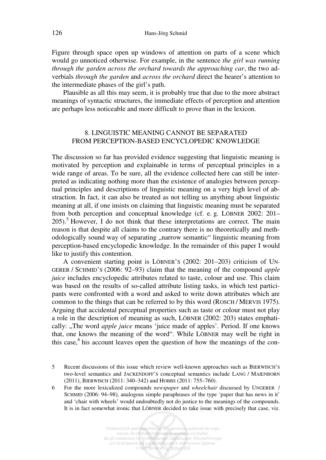Figure through space open up windows of attention on parts of a scene which would go unnoticed otherwise. For example, in the sentence *the girl was running through the garden across the orchard towards the approaching car*, the two adverbials *through the garden* and *across the orchard* direct the hearer's attention to the intermediate phases of the girl's path.

Plausible as all this may seem, it is probably true that due to the more abstract meanings of syntactic structures, the immediate effects of perception and attention are perhaps less noticeable and more difficult to prove than in the lexicon.

## 8. LINGUISTIC MEANING CANNOT BE SEPARATED FROM PERCEPTION-BASED ENCYCLOPEDIC KNOWLEDGE

The discussion so far has provided evidence suggesting that linguistic meaning is motivated by perception and explainable in terms of perceptual principles in a wide range of areas. To be sure, all the evidence collected here can still be interpreted as indicating nothing more than the existence of analogies between perceptual principles and descriptions of linguistic meaning on a very high level of abstraction. In fact, it can also be treated as not telling us anything about linguistic meaning at all, if one insists on claiming that linguistic meaning must be separated from both perception and conceptual knowledge (cf. e. g. LÖBNER 2002: 201–  $205$ ).<sup>5</sup> However, I do not think that these interpretations are correct. The main reason is that despite all claims to the contrary there is no theoretically and methodologically sound way of separating "narrow semantic" linguistic meaning from perception-based encyclopedic knowledge. In the remainder of this paper I would like to justify this contention.

A convenient starting point is LÖBNER'S (2002: 201–203) criticism of UN-GERER / SCHMID'S (2006: 92–93) claim that the meaning of the compound *apple juice* includes encyclopedic attributes related to taste, colour and use. This claim was based on the results of so-called attribute listing tasks, in which test participants were confronted with a word and asked to write down attributes which are common to the things that can be referred to by this word (ROSCH / MERVIS 1975). Arguing that accidental perceptual properties such as taste or colour must not play a role in the description of meaning as such, LÖBNER (2002: 203) states emphatically: "The word *apple juice* means 'juice made of apples'. Period. If one knows that, one knows the meaning of the word". While LÖBNER may well be right in this case,<sup>6</sup> his account leaves open the question of how the meanings of the con-

5 Recent discussions of this issue which review well-known approaches such as BIERWISCH'S two-level semantics and JACKENDOFF'S conceptual semantics include LANG / MAIENBORN (2011), BIERWISCH (2011: 340–342) and HOBBS (2011: 755–760).

6 For the more lexicalized compounds *newspaper* and *wheelchair* discussed by UNGERER / SCHMID (2006: 94–98), analogous simple paraphrases of the type 'paper that has news in it' and 'chair with wheels' would undoubtedly not do justice to the meanings of the compounds. It is in fact somewhat ironic that LÖBNER decided to take issue with precisely that case, viz.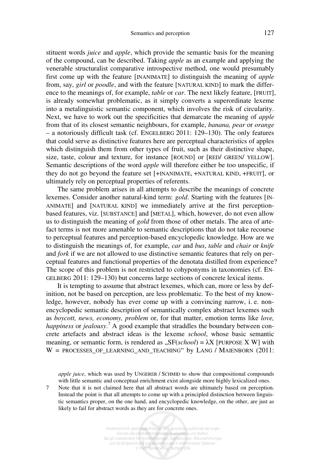stituent words *juice* and *apple*, which provide the semantic basis for the meaning of the compound, can be described. Taking *apple* as an example and applying the venerable structuralist comparative introspective method, one would presumably first come up with the feature [INANIMATE] to distinguish the meaning of *apple* from, say, *girl* or *poodle*, and with the feature [NATURAL KIND] to mark the difference to the meanings of, for example, *table* or *car*. The next likely feature, [FRUIT], is already somewhat problematic, as it simply converts a superordinate lexeme into a metalinguistic semantic component, which involves the risk of circularity. Next, we have to work out the specificities that demarcate the meaning of *apple* from that of its closest semantic neighbours, for example, *banana, pear* or *orange* – a notoriously difficult task (cf. ENGELBERG 2011: 129–130). The only features that could serve as distinctive features here are perceptual characteristics of apples which distinguish them from other types of fruit, such as their distinctive shape, size, taste, colour and texture, for instance [ROUND] or [RED/ GREEN/ YELLOW]. Semantic descriptions of the word *apple* will therefore either be too unspecific, if they do not go beyond the feature set [+INANIMATE, +NATURAL KIND, +FRUIT], or ultimately rely on perceptual properties of referents.

The same problem arises in all attempts to describe the meanings of concrete lexemes. Consider another natural-kind term: *gold*. Starting with the features [IN-ANIMATE] and [NATURAL KIND] we immediately arrive at the first perceptionbased features, viz. [SUBSTANCE] and [METAL], which, however, do not even allow us to distinguish the meaning of *gold* from those of other metals. The area of artefact terms is not more amenable to semantic descriptions that do not take recourse to perceptual features and perception-based encyclopedic knowledge. How are we to distinguish the meanings of, for example, *car* and *bus*, *table* and *chair* or *knife* and *fork* if we are not allowed to use distinctive semantic features that rely on perceptual features and functional properties of the denotata distilled from experience? The scope of this problem is not restricted to cohyponyms in taxonomies (cf. EN-GELBERG 2011: 129–130) but concerns large sections of concrete lexical items.

It is tempting to assume that abstract lexemes, which can, more or less by definition, not be based on perception, are less problematic. To the best of my knowledge, however, nobody has ever come up with a convincing narrow, i. e. nonencyclopedic semantic description of semantically complex abstract lexemes such as *boycott, news, economy, problem* or, for that matter, emotion terms like *love,* happiness or *jealousy*.<sup>7</sup> A good example that straddles the boundary between concrete artefacts and abstract ideas is the lexeme *school*, whose basic semantic meaning, or semantic form, is rendered as  $, SF(school) = \lambda X$  [PURPOSE X W] with  $W =$  PROCESSES OF LEARNING AND TEACHING" by LANG / MAIENBORN (2011:

*apple juice*, which was used by UNGERER / SCHMID to show that compositional compounds with little semantic and conceptual enrichment exist alongside more highly lexicalized ones.

7 Note that it is not claimed here that all abstract words are ultimately based on perception. Instead the point is that all attempts to come up with a principled distinction between linguistic semantics proper, on the one hand, and encyclopedic knowledge, on the other, are just as likely to fail for abstract words as they are for concrete ones.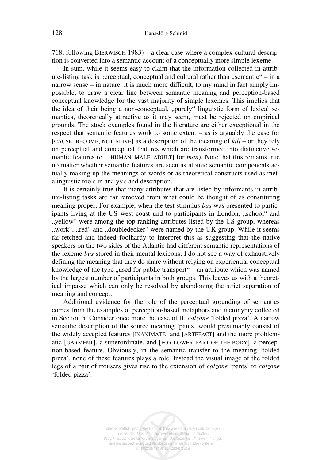718; following BIERWISCH 1983) – a clear case where a complex cultural description is converted into a semantic account of a conceptually more simple lexeme.

In sum, while it seems easy to claim that the information collected in attribute-listing task is perceptual, conceptual and cultural rather than "semantic" – in a narrow sense – in nature, it is much more difficult, to my mind in fact simply impossible, to draw a clear line between semantic meaning and perception-based conceptual knowledge for the vast majority of simple lexemes. This implies that the idea of their being a non-conceptual, "purely" linguistic form of lexical semantics, theoretically attractive as it may seem, must be rejected on empirical grounds. The stock examples found in the literature are either exceptional in the respect that semantic features work to some extent – as is arguably the case for [CAUSE, BECOME, NOT ALIVE] as a description of the meaning of *kill* – or they rely on perceptual and conceptual features which are transformed into distinctive semantic features (cf. [HUMAN, MALE, ADULT] for *man*). Note that this remains true no matter whether semantic features are seen as atomic semantic components actually making up the meanings of words or as theoretical constructs used as metalinguistic tools in analysis and description.

It is certainly true that many attributes that are listed by informants in attribute-listing tasks are far removed from what could be thought of as constituting meaning proper. For example, when the test stimulus *bus* was presented to participants living at the US west coast und to participants in London, "school" and ", yellow" were among the top-ranking attributes listed by the US group, whereas ", work", ",red" and ",doubledecker" were named by the UK group. While it seems far-fetched and indeed foolhardy to interpret this as suggesting that the native speakers on the two sides of the Atlantic had different semantic representations of the lexeme *bus* stored in their mental lexicons, I do not see a way of exhaustively defining the meaning that they do share without relying on experiential conceptual knowledge of the type ,, used for public transport " – an attribute which was named by the largest number of participants in both groups. This leaves us with a theoretical impasse which can only be resolved by abandoning the strict separation of meaning and concept.

Additional evidence for the role of the perceptual grounding of semantics comes from the examples of perception-based metaphors and metonymy collected in Section 5. Consider once more the case of It. *calzone* 'folded pizza'. A narrow semantic description of the source meaning 'pants' would presumably consist of the widely accepted features [INANIMATE] and [ARTEFACT] and the more problematic [GARMENT], a superordinate, and [FOR LOWER PART OF THE BODY], a perception-based feature. Obviously, in the semantic transfer to the meaning 'folded pizza', none of these features plays a role. Instead the visual image of the folded legs of a pair of trousers gives rise to the extension of *calzone* 'pants' to *calzone* 'folded pizza'.

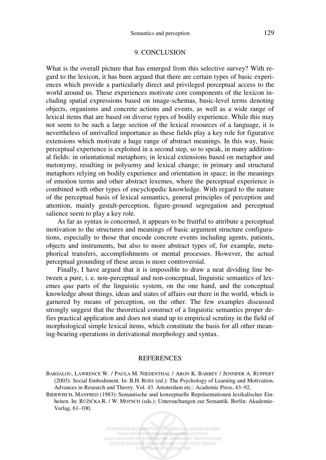#### 9. CONCLUSION

What is the overall picture that has emerged from this selective survey? With regard to the lexicon, it has been argued that there are certain types of basic experiences which provide a particularly direct and privileged perceptual access to the world around us. These experiences motivate core components of the lexicon including spatial expressions based on image-schemas, basic-level terms denoting objects, organisms and concrete actions and events, as well as a wide range of lexical items that are based on diverse types of bodily experience. While this may not seem to be such a large section of the lexical resources of a language, it is nevertheless of unrivalled importance as these fields play a key role for figurative extensions which motivate a huge range of abstract meanings. In this way, basic perceptual experience is exploited in a second step, so to speak, in many additional fields: in orientational metaphors; in lexical extensions based on metaphor and metonymy, resulting in polysemy and lexical change; in primary and structural metaphors relying on bodily experience and orientation in space; in the meanings of emotion terms and other abstract lexemes, where the perceptual experience is combined with other types of encyclopedic knowledge. With regard to the nature of the perceptual basis of lexical semantics, general principles of perception and attention, mainly gestalt-perception, figure-ground segregation and perceptual salience seem to play a key role.

As far as syntax is concerned, it appears to be fruitful to attribute a perceptual motivation to the structures and meanings of basic argument structure configurations, especially to those that encode concrete events including agents, patients, objects and instruments, but also to more abstract types of, for example, metaphorical transfers, accomplishments or mental processes. However, the actual perceptual grounding of these areas is more controversial.

Finally, I have argued that it is impossible to draw a neat dividing line between a pure, i. e. non-perceptual and non-conceptual, linguistic semantics of lexemes *qua* parts of the linguistic system, on the one hand, and the conceptual knowledge about things, ideas and states of affairs out there in the world, which is garnered by means of perception, on the other. The few examples discussed strongly suggest that the theoretical construct of a linguistic semantics proper defies practical application and does not stand up to empirical scrutiny in the field of morphological simple lexical items, which constitute the basis for all other meaning-bearing operations in derivational morphology and syntax.

#### **REFERENCES**

BARSALOU, LAWRENCE W. / PAULA M. NIEDENTHAL / ARON K. BARBEY / JENNIFER A. RUPPERT (2003): Social Embodiment. In: B.H. ROSS (ed.): The Psychology of Learning and Motivation. Advances in Research and Theory. Vol. 43. Amsterdam etc.: Academic Press, 43–92.

BIERWISCH, MANFRED (1983): Semantische und konzeptuelle Repräsentationen lexikalischer Einheiten. In: RŮŽIČKA R. / W. MOTSCH (eds.): Untersuchungen zur Semantik*.* Berlin: Akademie-Verlag, 61–100.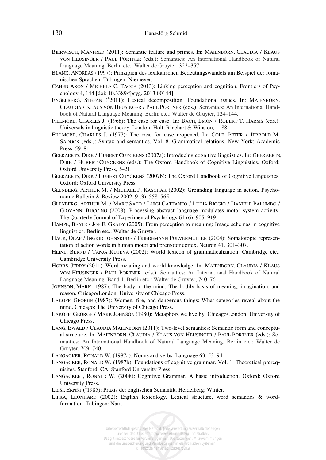- BIERWISCH, MANFRED (2011): Semantic feature and primes. In: MAIENBORN, CLAUDIA / KLAUS VON HEUSINGER / PAUL PORTNER (eds.): Semantics: An International Handbook of Natural Language Meaning. Berlin etc.: Walter de Gruyter, 322–357.
- BLANK, ANDREAS (1997): Prinzipien des lexikalischen Bedeutungswandels am Beispiel der romanischen Sprachen. Tübingen: Niemeyer.
- CAHEN ARON / MICHELA C. TACCA (2013): Linking perception and cognition. Frontiers of Psychology 4, 144 [doi: 10.3389/fpsyg. 2013.00144].
- ENGELBERG, STEFAN (<sup>1</sup>2011): Lexical decomposition: Foundational issues. In: MAIENBORN, CLAUDIA / KLAUS VON HEUSINGER / PAUL PORTNER (eds.): Semantics: An International Handbook of Natural Language Meaning. Berlin etc.: Walter de Gruyter, 124–144.
- FILLMORE, CHARLES J. (1968): The case for case. In: BACH, EMON / ROBERT T. HARMS (eds.): Universals in linguistic theory. London: Holt, Rinehart & Winston, 1–88.
- FILLMORE, CHARLES J. (1977): The case for case reopened. In: COLE, PETER / JERROLD M. SADOCK (eds.): Syntax and semantics. Vol. 8. Grammatical relations. New York: Academic Press, 59–81.
- GEERAERTS, DIRK / HUBERT CUYCKENS (2007a): Introducing cognitive linguistics. In: GEERAERTS, DIRK / HUBERT CUYCKENS (eds.): The Oxford Handbook of Cognitive Linguistics. Oxford: Oxford University Press, 3–21.
- GEERAERTS, DIRK / HUBERT CUYCKENS (2007b): The Oxford Handbook of Cognitive Linguistics. Oxford: Oxford University Press.
- GLENBERG, ARTHUR M. / MICHAEL P. KASCHAK (2002): Grounding language in action. Psychonomic Bulletin & Review 2002, 9 (3), 558–565.
- GLENBERG, ARTHUR M. / MARC SATO / LUIGI CATTANEO / LUCIA RIGGIO / DANIELE PALUMBO / GIOVANNI BUCCINO (2008): Processing abstract language modulates motor system activity. The Quarterly Journal of Experimental Psychology 61 (6), 905–919.
- HAMPE, BEATE / JOE E. GRADY (2005): From perception to meaning: Image schemas in cognitive linguistics. Berlin etc.: Walter de Gruyter.
- HAUK, OLAF / INGRID JOHNSRUDE / FRIEDEMANN PULVERMÜLLER (2004): Somatotopic representation of action words in human motor and premotor cortex. Neuron 41, 301–307.
- HEINE, BERND / TANJA KUTEVA (2002): World lexicon of grammaticalization. Cambridge etc.: Cambridge University Press.
- HOBBS, JERRY (2011): Word meaning and world knowledge. In: MAIENBORN, CLAUDIA / KLAUS VON HEUSINGER / PAUL PORTNER (eds.): Semantics: An International Handbook of Natural Language Meaning. Band 1. Berlin etc.: Walter de Gruyter, 740–761.
- JOHNSON, MARK (1987): The body in the mind. The bodily basis of meaning, imagination, and reason. Chicago/London: University of Chicago Press.
- LAKOFF, GEORGE (1987): Women, fire, and dangerous things: What categories reveal about the mind. Chicago: The University of Chicago Press.
- LAKOFF, GEORGE / MARK JOHNSON (1980): Metaphors we live by. Chicago/London: University of Chicago Press.
- LANG, EWALD / CLAUDIA MAIENBORN (2011): Two-level semantics: Semantic form and conceptual structure. In: MAIENBORN, CLAUDIA / KLAUS VON HEUSINGER / PAUL PORTNER (eds.): Semantics: An International Handbook of Natural Language Meaning. Berlin etc.: Walter de Gruyter, 709–740.

LANGACKER, RONALD W. (1987a): Nouns and verbs. Language 63, 53–94.

- LANGACKER, RONALD W. (1987b): Foundations of cognitive grammar. Vol. 1. Theoretical prerequisites. Stanford, CA: Stanford University Press.
- LANGACKER , RONALD W. (2008): Cognitive Grammar. A basic introduction. Oxford: Oxford University Press.

LEISI, ERNST  $(^{2}1985)$ : Praxis der englischen Semantik. Heidelberg: Winter.

LIPKA, LEONHARD (2002): English lexicology. Lexical structure, word semantics & wordformation. Tübingen: Narr.